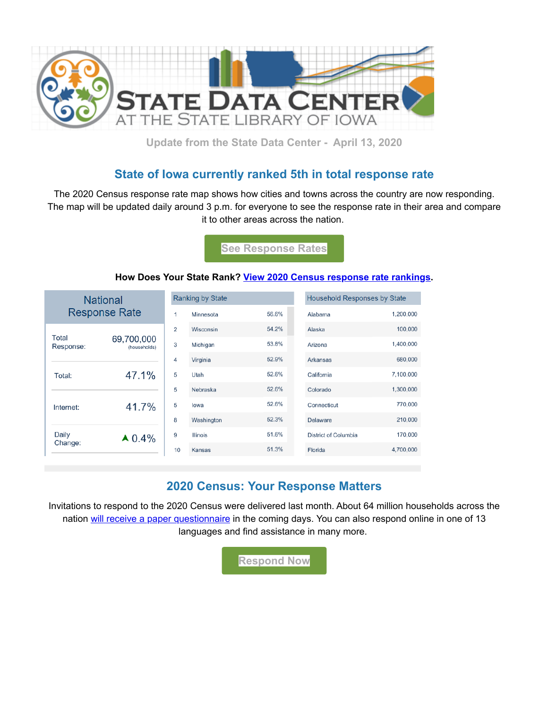

**Update from the State Data Center - April 13, 2020**

### **State of Iowa currently ranked 5th in total response rate**

The 2020 Census response rate map shows how cities and towns across the country are now responding. The map will be updated daily around 3 p.m. for everyone to see the response rate in their area and compare it to other areas across the nation.

**[See Response Rates](https://lnks.gd/l/eyJhbGciOiJIUzI1NiJ9.eyJidWxsZXRpbl9saW5rX2lkIjoxMDIsInVyaSI6ImJwMjpjbGljayIsImJ1bGxldGluX2lkIjoiMjAyMDA0MTAuMjAwMjY0NTEiLCJ1cmwiOiJodHRwczovLzIwMjBjZW5zdXMuZ292L2VuL3Jlc3BvbnNlLXJhdGVzLmh0bWw_dXRtX2NhbXBhaWduPTIwMjAwNDEwbXNjMjBzMWNjYWxsbmwmdXRtX21lZGl1bT1lbWFpbCZ1dG1fc291cmNlPWdvdmRlbGl2ZXJ5In0.u4iYg63GwU0llx5zWg0LOIDZYYU1GQQdzK6bfeDMu-U/br/77294376324-l?utm_medium=email&utm_source=govdelivery)**

#### **How Does Your State Rank? [View 2020 Census response rate rankings](https://lnks.gd/l/eyJhbGciOiJIUzI1NiJ9.eyJidWxsZXRpbl9saW5rX2lkIjoxMDMsInVyaSI6ImJwMjpjbGljayIsImJ1bGxldGluX2lkIjoiMjAyMDA0MTAuMjAwMjY0NTEiLCJ1cmwiOiJodHRwczovL3B1YmxpYy50YWJsZWF1LmNvbS9wcm9maWxlL3VzLmNlbnN1cy5idXJlYXU_dXRtX2NhbXBhaWduPTIwMjAwNDEwbXNjMjBzMWNjYWxsbmwmdXRtX21lZGl1bT1lbWFpbCZ1dG1fc291cmNlPWdvdmRlbGl2ZXJ5IyEvdml6aG9tZS8yMDIwQ2Vuc3VzU2VsZi1SZXNwb25zZVJhbmtpbmdzL1JhbmtpbmdzRGFzaGJvYXJkIn0.alp1BtPpsSD4Poojg8E4m-39ENA5SoWcLyqqxQp5NUo/br/77294376324-l?utm_medium=email&utm_source=govdelivery).**

| <b>National</b><br><b>Response Rate</b>   |                                              | <b>Ranking by State</b> |                 |       | <b>Household Responses by State</b> |           |
|-------------------------------------------|----------------------------------------------|-------------------------|-----------------|-------|-------------------------------------|-----------|
|                                           |                                              | 1                       | Minnesota       | 56.6% | Alabama                             | 1,200,000 |
| Total<br>Response:<br>Total:<br>Internet: | 69,700,000<br>(households)<br>47.1%<br>41.7% | 2                       | Wisconsin       | 54.2% | Alaska                              | 100,000   |
|                                           |                                              | 3                       | Michigan        | 53.8% | Arizona                             | 1,400,000 |
|                                           |                                              | 4                       | Virginia        | 52.9% | Arkansas                            | 680,000   |
|                                           |                                              | 5                       | Utah            | 52.6% | California                          | 7,100,000 |
|                                           |                                              | 5                       | Nebraska        | 52.6% | Colorado                            | 1,300,000 |
|                                           |                                              | 5                       | lowa            | 52.6% | Connecticut                         | 770,000   |
|                                           |                                              | 8                       | Washington      | 52.3% | Delaware                            | 210,000   |
| Daily<br>Change:                          | $\triangle 0.4\%$                            | 9                       | <b>Illinois</b> | 51.6% | District of Columbia                | 170,000   |
|                                           |                                              | 10                      | Kansas          | 51.3% | Florida                             | 4,700,000 |

### **2020 Census: Your Response Matters**

Invitations to respond to the 2020 Census were delivered last month. About 64 million households across the nation [will receive a paper questionnaire](https://lnks.gd/l/eyJhbGciOiJIUzI1NiJ9.eyJidWxsZXRpbl9saW5rX2lkIjoxMDUsInVyaSI6ImJwMjpjbGljayIsImJ1bGxldGluX2lkIjoiMjAyMDA0MTAuMjAwMjY0NTEiLCJ1cmwiOiJodHRwczovLzIwMjBjZW5zdXMuZ292L2VuL25ld3MtZXZlbnRzL3ByZXNzLXJlbGVhc2VzL2RlbGl2ZXJ5LW9mLTIwMjAtY2Vuc3VzLXBhcGVyLXF1ZXN0aW9ubmFpcmVzLmh0bWw_dXRtX2NhbXBhaWduPTIwMjAwNDEwbXNjMjBzMWNjYWxsbmwmdXRtX21lZGl1bT1lbWFpbCZ1dG1fc291cmNlPWdvdmRlbGl2ZXJ5In0.AnM3M-s5-Ej_bXIJyWX6vOCUXjxmNNeQEZoMJu3R9OA/br/77294376324-l?utm_medium=email&utm_source=govdelivery) in the coming days. You can also respond online in one of 13 languages and find assistance in many more.

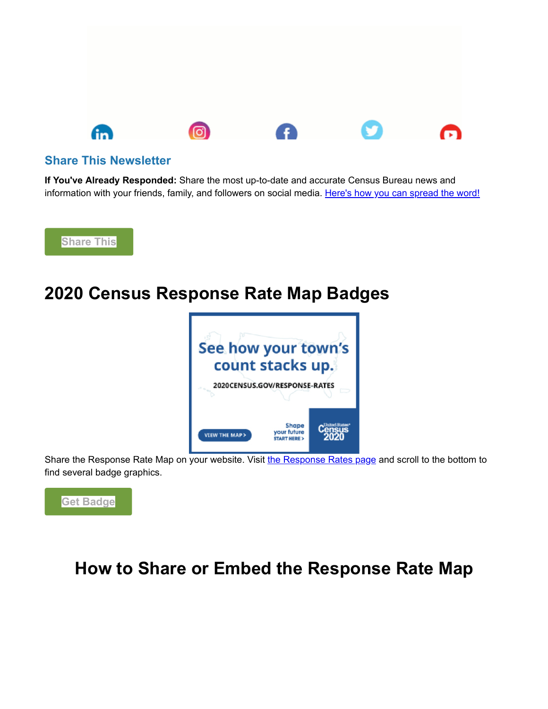

#### **Share This Newsletter**

**If You've Already Responded:** Share the most up-to-date and accurate Census Bureau news and information with your friends, family, and followers on social media. [Here's how you can spread the word!](https://lnks.gd/l/eyJhbGciOiJIUzI1NiJ9.eyJidWxsZXRpbl9saW5rX2lkIjoxMDgsInVyaSI6ImJwMjpjbGljayIsImJ1bGxldGluX2lkIjoiMjAyMDA0MTAuMjAwMjY0NTEiLCJ1cmwiOiJodHRwczovLzIwMjBjZW5zdXMuZ292L2VuL2hvdy10by1oZWxwLmh0bWw_dXRtX2NhbXBhaWduPTIwMjAwNDEwbXNjMjBzMWNjYWxsbmwmdXRtX21lZGl1bT1lbWFpbCZ1dG1fc291cmNlPWdvdmRlbGl2ZXJ5In0.C4vp1AVLGYwUE6H3kcWLcHXWEfMyG4mI_wDZ30hNKsc/br/77294376324-l?utm_medium=email&utm_source=govdelivery)



# **2020 Census Response Rate Map Badges**



Share the Response Rate Map on [your website. Visit](https://lnks.gd/l/eyJhbGciOiJIUzI1NiJ9.eyJidWxsZXRpbl9saW5rX2lkIjoxMTAsInVyaSI6ImJwMjpjbGljayIsImJ1bGxldGluX2lkIjoiMjAyMDA0MTAuMjAwMjY0NTEiLCJ1cmwiOiJodHRwczovLzIwMjBjZW5zdXMuZ292L2VuL3Jlc3BvbnNlLXJhdGVzLmh0bWw_dXRtX2NhbXBhaWduPTIwMjAwNDEwbXNjMjBzMWNjYWxsbmwmdXRtX21lZGl1bT1lbWFpbCZ1dG1fc291cmNlPWdvdmRlbGl2ZXJ5In0.-Yi0NKieA4U7TIc7dnlSp-Aws7T1cdubEakNssKGVMo/br/77294376324-l?utm_medium=email&utm_source=govdelivery) [the Response Rates page](https://lnks.gd/l/eyJhbGciOiJIUzI1NiJ9.eyJidWxsZXRpbl9saW5rX2lkIjoxMTEsInVyaSI6ImJwMjpjbGljayIsImJ1bGxldGluX2lkIjoiMjAyMDA0MTAuMjAwMjY0NTEiLCJ1cmwiOiJodHRwczovLzIwMjBjZW5zdXMuZ292L2VuL3Jlc3BvbnNlLXJhdGVzLmh0bWw_dXRtX2NhbXBhaWduPTIwMjAwNDEwbXNjMjBzMWNjYWxsbmwmdXRtX21lZGl1bT1lbWFpbCZ1dG1fc291cmNlPWdvdmRlbGl2ZXJ5In0.rpLgdNFQeJfSvaC2WF2Q2ranEageLcp6njQFwPREqaU/br/77294376324-l?utm_medium=email&utm_source=govdelivery) and scroll to the bottom to find several badge graphics.



## **How to Share or Embed the Response Rate Map**